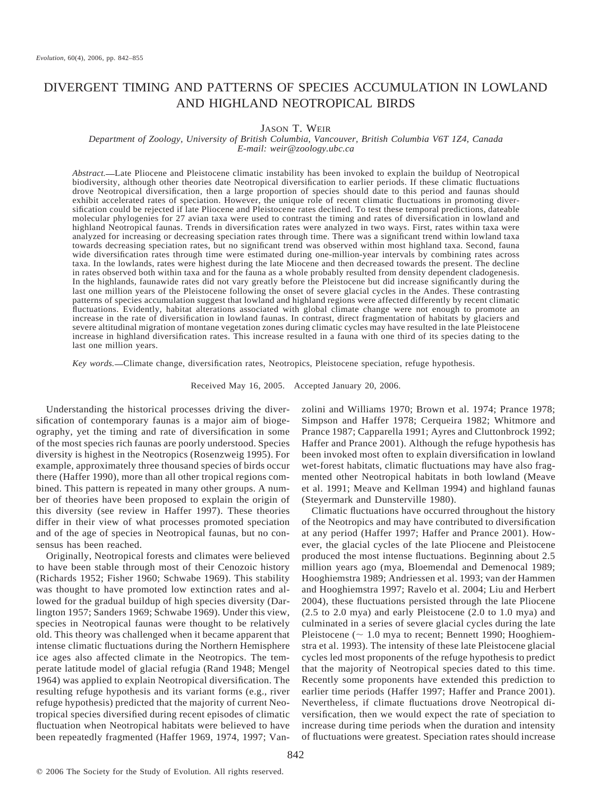# DIVERGENT TIMING AND PATTERNS OF SPECIES ACCUMULATION IN LOWLAND AND HIGHLAND NEOTROPICAL BIRDS

# JASON T. WEIR

### *Department of Zoology, University of British Columbia, Vancouver, British Columbia V6T 1Z4, Canada E-mail: weir@zoology.ubc.ca*

*Abstract.* Late Pliocene and Pleistocene climatic instability has been invoked to explain the buildup of Neotropical biodiversity, although other theories date Neotropical diversification to earlier periods. If these climatic fluctuations drove Neotropical diversification, then a large proportion of species should date to this period and faunas should exhibit accelerated rates of speciation. However, the unique role of recent climatic fluctuations in promoting diversification could be rejected if late Pliocene and Pleistocene rates declined. To test these temporal predictions, dateable molecular phylogenies for 27 avian taxa were used to contrast the timing and rates of diversification in lowland and highland Neotropical faunas. Trends in diversification rates were analyzed in two ways. First, rates within taxa were analyzed for increasing or decreasing speciation rates through time. There was a significant trend within lowland taxa towards decreasing speciation rates, but no significant trend was observed within most highland taxa. Second, fauna wide diversification rates through time were estimated during one-million-year intervals by combining rates across taxa. In the lowlands, rates were highest during the late Miocene and then decreased towards the present. The decline in rates observed both within taxa and for the fauna as a whole probably resulted from density dependent cladogenesis. In the highlands, faunawide rates did not vary greatly before the Pleistocene but did increase significantly during the last one million years of the Pleistocene following the onset of severe glacial cycles in the Andes. These contrasting patterns of species accumulation suggest that lowland and highland regions were affected differently by recent climatic fluctuations. Evidently, habitat alterations associated with global climate change were not enough to promote an increase in the rate of diversification in lowland faunas. In contrast, direct fragmentation of habitats by glaciers and severe altitudinal migration of montane vegetation zones during climatic cycles may have resulted in the late Pleistocene increase in highland diversification rates. This increase resulted in a fauna with one third of its species dating to the last one million years.

*Key words.* Climate change, diversification rates, Neotropics, Pleistocene speciation, refuge hypothesis.

Received May 16, 2005. Accepted January 20, 2006.

Understanding the historical processes driving the diversification of contemporary faunas is a major aim of biogeography, yet the timing and rate of diversification in some of the most species rich faunas are poorly understood. Species diversity is highest in the Neotropics (Rosenzweig 1995). For example, approximately three thousand species of birds occur there (Haffer 1990), more than all other tropical regions combined. This pattern is repeated in many other groups. A number of theories have been proposed to explain the origin of this diversity (see review in Haffer 1997). These theories differ in their view of what processes promoted speciation and of the age of species in Neotropical faunas, but no consensus has been reached.

Originally, Neotropical forests and climates were believed to have been stable through most of their Cenozoic history (Richards 1952; Fisher 1960; Schwabe 1969). This stability was thought to have promoted low extinction rates and allowed for the gradual buildup of high species diversity (Darlington 1957; Sanders 1969; Schwabe 1969). Under this view, species in Neotropical faunas were thought to be relatively old. This theory was challenged when it became apparent that intense climatic fluctuations during the Northern Hemisphere ice ages also affected climate in the Neotropics. The temperate latitude model of glacial refugia (Rand 1948; Mengel 1964) was applied to explain Neotropical diversification. The resulting refuge hypothesis and its variant forms (e.g., river refuge hypothesis) predicted that the majority of current Neotropical species diversified during recent episodes of climatic fluctuation when Neotropical habitats were believed to have been repeatedly fragmented (Haffer 1969, 1974, 1997; Vanzolini and Williams 1970; Brown et al. 1974; Prance 1978; Simpson and Haffer 1978; Cerqueira 1982; Whitmore and Prance 1987; Capparella 1991; Ayres and Cluttonbrock 1992; Haffer and Prance 2001). Although the refuge hypothesis has been invoked most often to explain diversification in lowland wet-forest habitats, climatic fluctuations may have also fragmented other Neotropical habitats in both lowland (Meave et al. 1991; Meave and Kellman 1994) and highland faunas (Steyermark and Dunsterville 1980).

Climatic fluctuations have occurred throughout the history of the Neotropics and may have contributed to diversification at any period (Haffer 1997; Haffer and Prance 2001). However, the glacial cycles of the late Pliocene and Pleistocene produced the most intense fluctuations. Beginning about 2.5 million years ago (mya, Bloemendal and Demenocal 1989; Hooghiemstra 1989; Andriessen et al. 1993; van der Hammen and Hooghiemstra 1997; Ravelo et al. 2004; Liu and Herbert 2004), these fluctuations persisted through the late Pliocene (2.5 to 2.0 mya) and early Pleistocene (2.0 to 1.0 mya) and culminated in a series of severe glacial cycles during the late Pleistocene ( $\sim 1.0$  mya to recent; Bennett 1990; Hooghiemstra et al. 1993). The intensity of these late Pleistocene glacial cycles led most proponents of the refuge hypothesis to predict that the majority of Neotropical species dated to this time. Recently some proponents have extended this prediction to earlier time periods (Haffer 1997; Haffer and Prance 2001). Nevertheless, if climate fluctuations drove Neotropical diversification, then we would expect the rate of speciation to increase during time periods when the duration and intensity of fluctuations were greatest. Speciation rates should increase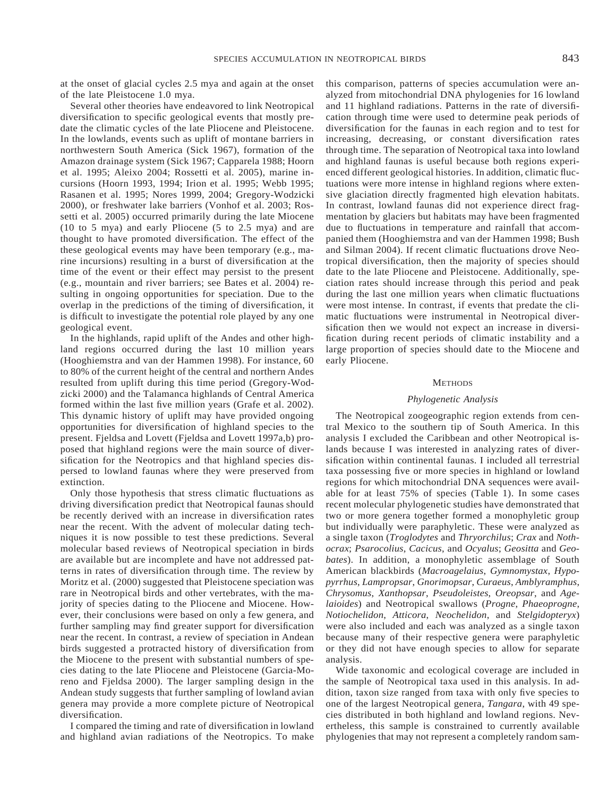at the onset of glacial cycles 2.5 mya and again at the onset of the late Pleistocene 1.0 mya.

Several other theories have endeavored to link Neotropical diversification to specific geological events that mostly predate the climatic cycles of the late Pliocene and Pleistocene. In the lowlands, events such as uplift of montane barriers in northwestern South America (Sick 1967), formation of the Amazon drainage system (Sick 1967; Capparela 1988; Hoorn et al. 1995; Aleixo 2004; Rossetti et al. 2005), marine incursions (Hoorn 1993, 1994; Irion et al. 1995; Webb 1995; Rasanen et al. 1995; Nores 1999, 2004; Gregory-Wodzicki 2000), or freshwater lake barriers (Vonhof et al. 2003; Rossetti et al. 2005) occurred primarily during the late Miocene (10 to 5 mya) and early Pliocene (5 to 2.5 mya) and are thought to have promoted diversification. The effect of the these geological events may have been temporary (e.g., marine incursions) resulting in a burst of diversification at the time of the event or their effect may persist to the present (e.g., mountain and river barriers; see Bates et al. 2004) resulting in ongoing opportunities for speciation. Due to the overlap in the predictions of the timing of diversification, it is difficult to investigate the potential role played by any one geological event.

In the highlands, rapid uplift of the Andes and other highland regions occurred during the last 10 million years (Hooghiemstra and van der Hammen 1998). For instance, 60 to 80% of the current height of the central and northern Andes resulted from uplift during this time period (Gregory-Wodzicki 2000) and the Talamanca highlands of Central America formed within the last five million years (Grafe et al. 2002). This dynamic history of uplift may have provided ongoing opportunities for diversification of highland species to the present. Fjeldsa and Lovett (Fjeldsa and Lovett 1997a,b) proposed that highland regions were the main source of diversification for the Neotropics and that highland species dispersed to lowland faunas where they were preserved from extinction.

Only those hypothesis that stress climatic fluctuations as driving diversification predict that Neotropical faunas should be recently derived with an increase in diversification rates near the recent. With the advent of molecular dating techniques it is now possible to test these predictions. Several molecular based reviews of Neotropical speciation in birds are available but are incomplete and have not addressed patterns in rates of diversification through time. The review by Moritz et al. (2000) suggested that Pleistocene speciation was rare in Neotropical birds and other vertebrates, with the majority of species dating to the Pliocene and Miocene. However, their conclusions were based on only a few genera, and further sampling may find greater support for diversification near the recent. In contrast, a review of speciation in Andean birds suggested a protracted history of diversification from the Miocene to the present with substantial numbers of species dating to the late Pliocene and Pleistocene (Garcia-Moreno and Fjeldsa 2000). The larger sampling design in the Andean study suggests that further sampling of lowland avian genera may provide a more complete picture of Neotropical diversification.

I compared the timing and rate of diversification in lowland and highland avian radiations of the Neotropics. To make this comparison, patterns of species accumulation were analyzed from mitochondrial DNA phylogenies for 16 lowland and 11 highland radiations. Patterns in the rate of diversification through time were used to determine peak periods of diversification for the faunas in each region and to test for increasing, decreasing, or constant diversification rates through time. The separation of Neotropical taxa into lowland and highland faunas is useful because both regions experienced different geological histories. In addition, climatic fluctuations were more intense in highland regions where extensive glaciation directly fragmented high elevation habitats. In contrast, lowland faunas did not experience direct fragmentation by glaciers but habitats may have been fragmented due to fluctuations in temperature and rainfall that accompanied them (Hooghiemstra and van der Hammen 1998; Bush and Silman 2004). If recent climatic fluctuations drove Neotropical diversification, then the majority of species should date to the late Pliocene and Pleistocene. Additionally, speciation rates should increase through this period and peak during the last one million years when climatic fluctuations were most intense. In contrast, if events that predate the climatic fluctuations were instrumental in Neotropical diversification then we would not expect an increase in diversification during recent periods of climatic instability and a large proportion of species should date to the Miocene and early Pliocene.

#### **METHODS**

# *Phylogenetic Analysis*

The Neotropical zoogeographic region extends from central Mexico to the southern tip of South America. In this analysis I excluded the Caribbean and other Neotropical islands because I was interested in analyzing rates of diversification within continental faunas. I included all terrestrial taxa possessing five or more species in highland or lowland regions for which mitochondrial DNA sequences were available for at least 75% of species (Table 1). In some cases recent molecular phylogenetic studies have demonstrated that two or more genera together formed a monophyletic group but individually were paraphyletic. These were analyzed as a single taxon (*Troglodytes* and *Thryorchilus*; *Crax* and *Nothocrax*; *Psarocolius*, *Cacicus*, and *Ocyalus*; *Geositta* and *Geobates*). In addition, a monophyletic assemblage of South American blackbirds (*Macroagelaius*, *Gymnomystax*, *Hypopyrrhus*, *Lampropsar*, *Gnorimopsar*, *Curaeus*, *Amblyramphus*, *Chrysomus*, *Xanthopsar*, *Pseudoleistes*, *Oreopsar*, and *Agelaioides*) and Neotropical swallows (*Progne*, *Phaeoprogne*, *Notiochelidon*, *Atticora*, *Neochelidon*, and *Stelgidopteryx*) were also included and each was analyzed as a single taxon because many of their respective genera were paraphyletic or they did not have enough species to allow for separate analysis.

Wide taxonomic and ecological coverage are included in the sample of Neotropical taxa used in this analysis. In addition, taxon size ranged from taxa with only five species to one of the largest Neotropical genera, *Tangara*, with 49 species distributed in both highland and lowland regions. Nevertheless, this sample is constrained to currently available phylogenies that may not represent a completely random sam-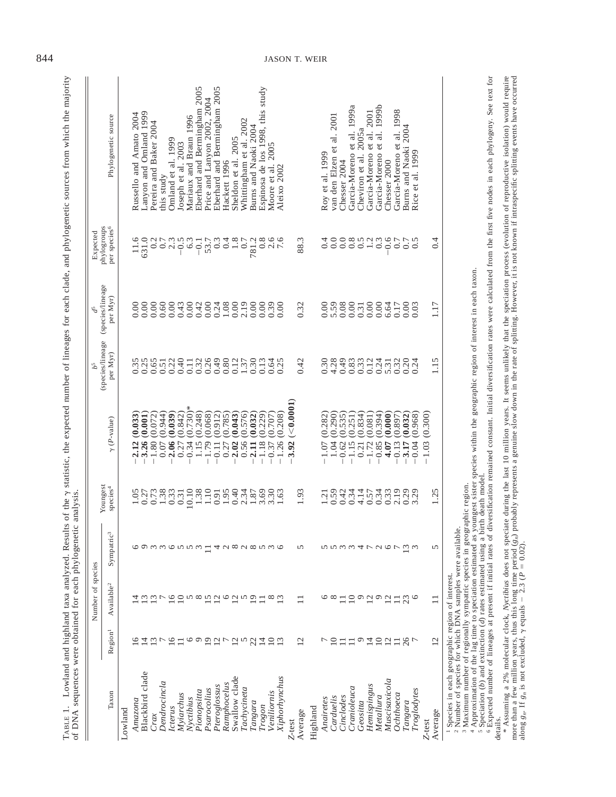|                 |                     | Number of species      |                        |                                         |                                       |                                                                           |                                                                   | Expected                                                       |                                  |
|-----------------|---------------------|------------------------|------------------------|-----------------------------------------|---------------------------------------|---------------------------------------------------------------------------|-------------------------------------------------------------------|----------------------------------------------------------------|----------------------------------|
| Taxon           | Region <sup>1</sup> | Available <sup>2</sup> | Sympatric <sup>3</sup> | Youngest<br>species <sup>4</sup>        | $\gamma$ ( <i>P</i> -value)           | (species/lineage<br>per Myr)                                              | (species/lineage<br>per Myr)                                      | per species <sup>6</sup><br>phylogroups                        | Phylogenetic source              |
| owland          |                     |                        |                        |                                         |                                       |                                                                           |                                                                   |                                                                |                                  |
| Amazona         |                     |                        |                        |                                         | (0.033)<br>$-2.12$                    | 0.35                                                                      | 0.00                                                              |                                                                | Russello and Amato 2004          |
| Blackbird clade | ᅼ                   |                        | しのここしいい                | 100788851                               | (0.001)<br>$-3.26$                    |                                                                           |                                                                   | $\frac{11.6}{631.0}$<br>$\frac{0.2}{0.7}$<br>$\frac{0.7}{0.3}$ | anyon and Omland 1999            |
| Crax            | ≌                   |                        |                        |                                         | (0.072)<br>$-1.80$                    |                                                                           |                                                                   |                                                                | Pereira and Baker 2004           |
| Dendrocincla    |                     |                        |                        |                                         | (0.944)<br>$0.07$                     | $0.35$<br>$0.51$                                                          |                                                                   |                                                                | his study                        |
| <i>Icterus</i>  | $\overline{16}$     | $\overline{16}$        |                        |                                         | (0.039)<br>$-2.06$<br>0.27            | 0.22                                                                      | 0.00                                                              |                                                                | Omland et al. 1999               |
| Myiarchus       | $\Box$              | $\overline{10}$        |                        |                                         | (0.842)                               | 0.40                                                                      | 0.43                                                              |                                                                | Joseph et al. 2003               |
| Nyctibius       | ७                   |                        |                        |                                         | $(0.730)*$<br>$-0.34$                 | 0.11                                                                      | 0.00                                                              | 6.3                                                            | Mariaux and Braun 1996           |
| Pionopsitta     | ○                   | n ∞ n d o d n d        |                        | 0.10.10.10.10.10<br>0.10.10.10.10.10.10 | (0.248)<br>$1.15$                     | $\begin{array}{c} 328 \\ 0.348 \\ 0.000 \\ 0.000 \\ 0.000 \\ \end{array}$ | $\begin{array}{c} 0.000000 \\ 0.000000 \\ 0.00000 \\ \end{array}$ | $-0.1$                                                         | Eberhard and Bermingham 2005     |
| Psarocolius     | ⊇                   |                        |                        |                                         | (0.068)<br>$-1.79$                    |                                                                           |                                                                   |                                                                | Price and Lanyon 2002, 2004      |
| Pteroglossus    | $\vec{u}$           |                        |                        |                                         | (0.912)<br>$-0.11$                    |                                                                           |                                                                   |                                                                | Eberhard and Bermingham 2005     |
| Ramphocelus     |                     |                        | 4 2 3 2 3 2 3 4 5 6 7  |                                         | (0.785)<br>$-2.02$<br>$-2.02$<br>0.56 |                                                                           |                                                                   | $53.7$<br>$0.348$<br>$0.7$                                     | Hackett 1996                     |
| Swallow clade   |                     |                        |                        |                                         | (0.043)                               |                                                                           |                                                                   |                                                                | Sheldon et al. 2005              |
| Tachycineta     | 292                 |                        |                        |                                         | (0.576)                               |                                                                           |                                                                   |                                                                | Whittingham et al. 2002          |
| Tangara         |                     |                        |                        |                                         | (0.032)<br>$-2.11$                    |                                                                           |                                                                   | $781.2$<br>0.8<br>7.6<br>7.6                                   | Burns and Naoki 2004             |
| Trogen          | $\overline{1}$      | Ξ                      |                        |                                         | (0.229)<br>$-1.18$                    | 0.13                                                                      | 0.00                                                              |                                                                | Espinosa de los 1998, this study |
| Veniliornis     | $\overline{10}$     | $\infty$               |                        | $3.30$<br>$1.63$                        | (0.707)<br>$-0.37$                    | 0.64                                                                      | 0.39                                                              |                                                                | 2005<br>Moore et al.             |
| Xiphorhynchus   |                     | $\Xi$                  |                        |                                         | (0.208)<br>$-1.26$                    | 0.25                                                                      |                                                                   |                                                                | Aleixo 2002                      |
| Z-test          |                     |                        |                        |                                         | $-3.92~(<)0.0001)$                    |                                                                           |                                                                   |                                                                |                                  |
| Average         | $\overline{c}$      |                        | 5                      | 1.93                                    |                                       | 0.42                                                                      | 0.32                                                              | 88.3                                                           |                                  |
| Highland        |                     |                        |                        |                                         |                                       |                                                                           |                                                                   |                                                                |                                  |
| Anairetes       |                     |                        |                        | 1.21                                    | (0.282)<br>$-1.07$                    | 0.30                                                                      | 0.00                                                              | 0.4                                                            | Roy et al. 1999                  |
| Carduelis       |                     | $\infty$               | <b>ちちききょてりの</b> て      |                                         | (0.290)<br>1.04                       | 4.28                                                                      | 5.59<br>0.08                                                      |                                                                | van den Elzen et al. 2001        |
| Cinclodes       | $\equiv$            |                        |                        |                                         | (0.535)<br>$-0.62$                    | 0.49                                                                      |                                                                   |                                                                | Chesser 2004                     |
| Cranioleuca     |                     | $\overline{10}$        |                        |                                         | $(0.251)$<br>$(0.834)$<br>$-1.15$     |                                                                           |                                                                   |                                                                | Garcia-Moreno et al. 1999a       |
| Geositta        | $\circ$             | 929                    |                        |                                         | 0.21                                  |                                                                           |                                                                   |                                                                | Cheviron et al. 2005a            |
| Hemispingus     | $\overline{1}$      |                        |                        |                                         | $(0.081)$<br>$(0.394)$<br>$-1.72$     |                                                                           |                                                                   |                                                                | Garcia-Moreno et al. 2001        |
| Metallura       | $\overline{10}$     |                        |                        |                                         | $-0.85$<br>4.07                       |                                                                           |                                                                   |                                                                | Garcia-Moreno et al. 1999b       |
| Muscisaxicola   |                     |                        |                        |                                         | $\overline{(0.000)}$                  |                                                                           |                                                                   |                                                                | Chesser 2000                     |
| Ochthoeca       | 277                 | 27200                  |                        |                                         | (0.897)<br>$-0.13$                    | 833135323<br>831155223                                                    |                                                                   |                                                                | Garcia-Moreno et al. 1998        |
| Tangara         |                     |                        | $\frac{1}{2}$          |                                         | (0.032)<br>$-3.17$                    |                                                                           | 0.00000                                                           | $\frac{0.7}{0.5}$                                              | Burns and Naoki 2004             |
| Troglodytes     |                     |                        |                        |                                         | (0.968)<br>$-0.04$                    |                                                                           |                                                                   |                                                                | Rice et al. 1999                 |

Average Axerage 12 11 5 1.15 1.15 1.15 1.17 Average *Z*-test

Tangara<br>Troglodytes

 $0.4$ 

 $1.17$ 

 $1.15$ 

 $-1.03(0.300)$ 

1.25

 $\sqrt{2}$ 

 $\equiv$ 

 $12$ 

 $-1.03(0.300)$ 

 $-2$ Species in each geographic region of interest.

Number of species for which DNA samples were available.

Maximum number of regionally sympatric species in geographic region.

م + 5 Approximation of the lag time to speciation estimated as youngest sister species within the geographic region of interest in each taxon.

<sup>5</sup> Speciation (*b*) and extinction (*d*) rates estimated using a birth death model.<br><sup>6</sup> Expected number of lineages at present if initial rates of diversification remained constant. Initial diversification rates were calc

details.<br>\* Assuming a 2% molecular clock, *Nyctibius* does not speciate during the last 10 million years. It seems unlikely that the speciation process (evolution of reproductive isolation) would require<br>more than a few m \* Assuming a 2% molecular clock, *Nyctibius* does not speciate during the last 10 million years. It seems unlikely that the speciation process (evolution of reproductive isolation) would require more than a few million years, thus this long time period (*gn*) probably represents a genuine slow down in the rate of splitting. However, it is not known if intraspecific splitting events have occurred along  $g_n$ . If  $g_n$  is not excluded,  $\gamma$  equals  $-2.3$  (  $P = 0.02$ ).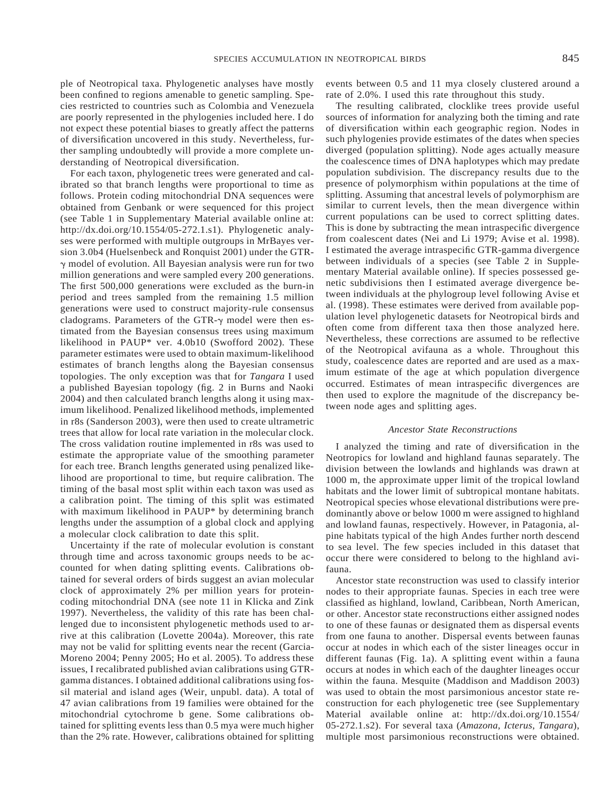ple of Neotropical taxa. Phylogenetic analyses have mostly been confined to regions amenable to genetic sampling. Species restricted to countries such as Colombia and Venezuela are poorly represented in the phylogenies included here. I do not expect these potential biases to greatly affect the patterns of diversification uncovered in this study. Nevertheless, further sampling undoubtedly will provide a more complete understanding of Neotropical diversification.

For each taxon, phylogenetic trees were generated and calibrated so that branch lengths were proportional to time as follows. Protein coding mitochondrial DNA sequences were obtained from Genbank or were sequenced for this project (see Table 1 in Supplementary Material available online at: http://dx.doi.org/10.1554/05-272.1.s1). Phylogenetic analyses were performed with multiple outgroups in MrBayes version 3.0b4 (Huelsenbeck and Ronquist 2001) under the GTR- $\gamma$  model of evolution. All Bayesian analysis were run for two million generations and were sampled every 200 generations. The first 500,000 generations were excluded as the burn-in period and trees sampled from the remaining 1.5 million generations were used to construct majority-rule consensus cladograms. Parameters of the GTR- $\gamma$  model were then estimated from the Bayesian consensus trees using maximum likelihood in PAUP\* ver. 4.0b10 (Swofford 2002). These parameter estimates were used to obtain maximum-likelihood estimates of branch lengths along the Bayesian consensus topologies. The only exception was that for *Tangara* I used a published Bayesian topology (fig. 2 in Burns and Naoki 2004) and then calculated branch lengths along it using maximum likelihood. Penalized likelihood methods, implemented in r8s (Sanderson 2003), were then used to create ultrametric trees that allow for local rate variation in the molecular clock. The cross validation routine implemented in r8s was used to estimate the appropriate value of the smoothing parameter for each tree. Branch lengths generated using penalized likelihood are proportional to time, but require calibration. The timing of the basal most split within each taxon was used as a calibration point. The timing of this split was estimated with maximum likelihood in PAUP\* by determining branch lengths under the assumption of a global clock and applying a molecular clock calibration to date this split.

Uncertainty if the rate of molecular evolution is constant through time and across taxonomic groups needs to be accounted for when dating splitting events. Calibrations obtained for several orders of birds suggest an avian molecular clock of approximately 2% per million years for proteincoding mitochondrial DNA (see note 11 in Klicka and Zink 1997). Nevertheless, the validity of this rate has been challenged due to inconsistent phylogenetic methods used to arrive at this calibration (Lovette 2004a). Moreover, this rate may not be valid for splitting events near the recent (Garcia-Moreno 2004; Penny 2005; Ho et al. 2005). To address these issues, I recalibrated published avian calibrations using GTRgamma distances. I obtained additional calibrations using fossil material and island ages (Weir, unpubl. data). A total of 47 avian calibrations from 19 families were obtained for the mitochondrial cytochrome b gene. Some calibrations obtained for splitting events less than 0.5 mya were much higher than the 2% rate. However, calibrations obtained for splitting events between 0.5 and 11 mya closely clustered around a rate of 2.0%. I used this rate throughout this study.

The resulting calibrated, clocklike trees provide useful sources of information for analyzing both the timing and rate of diversification within each geographic region. Nodes in such phylogenies provide estimates of the dates when species diverged (population splitting). Node ages actually measure the coalescence times of DNA haplotypes which may predate population subdivision. The discrepancy results due to the presence of polymorphism within populations at the time of splitting. Assuming that ancestral levels of polymorphism are similar to current levels, then the mean divergence within current populations can be used to correct splitting dates. This is done by subtracting the mean intraspecific divergence from coalescent dates (Nei and Li 1979; Avise et al. 1998). I estimated the average intraspecific GTR-gamma divergence between individuals of a species (see Table 2 in Supplementary Material available online). If species possessed genetic subdivisions then I estimated average divergence between individuals at the phylogroup level following Avise et al. (1998). These estimates were derived from available population level phylogenetic datasets for Neotropical birds and often come from different taxa then those analyzed here. Nevertheless, these corrections are assumed to be reflective of the Neotropical avifauna as a whole. Throughout this study, coalescence dates are reported and are used as a maximum estimate of the age at which population divergence occurred. Estimates of mean intraspecific divergences are then used to explore the magnitude of the discrepancy between node ages and splitting ages.

#### *Ancestor State Reconstructions*

I analyzed the timing and rate of diversification in the Neotropics for lowland and highland faunas separately. The division between the lowlands and highlands was drawn at 1000 m, the approximate upper limit of the tropical lowland habitats and the lower limit of subtropical montane habitats. Neotropical species whose elevational distributions were predominantly above or below 1000 m were assigned to highland and lowland faunas, respectively. However, in Patagonia, alpine habitats typical of the high Andes further north descend to sea level. The few species included in this dataset that occur there were considered to belong to the highland avifauna.

Ancestor state reconstruction was used to classify interior nodes to their appropriate faunas. Species in each tree were classified as highland, lowland, Caribbean, North American, or other. Ancestor state reconstructions either assigned nodes to one of these faunas or designated them as dispersal events from one fauna to another. Dispersal events between faunas occur at nodes in which each of the sister lineages occur in different faunas (Fig. 1a). A splitting event within a fauna occurs at nodes in which each of the daughter lineages occur within the fauna. Mesquite (Maddison and Maddison 2003) was used to obtain the most parsimonious ancestor state reconstruction for each phylogenetic tree (see Supplementary Material available online at: http://dx.doi.org/10.1554/ 05-272.1.s2). For several taxa (*Amazona*, *Icterus*, *Tangara*), multiple most parsimonious reconstructions were obtained.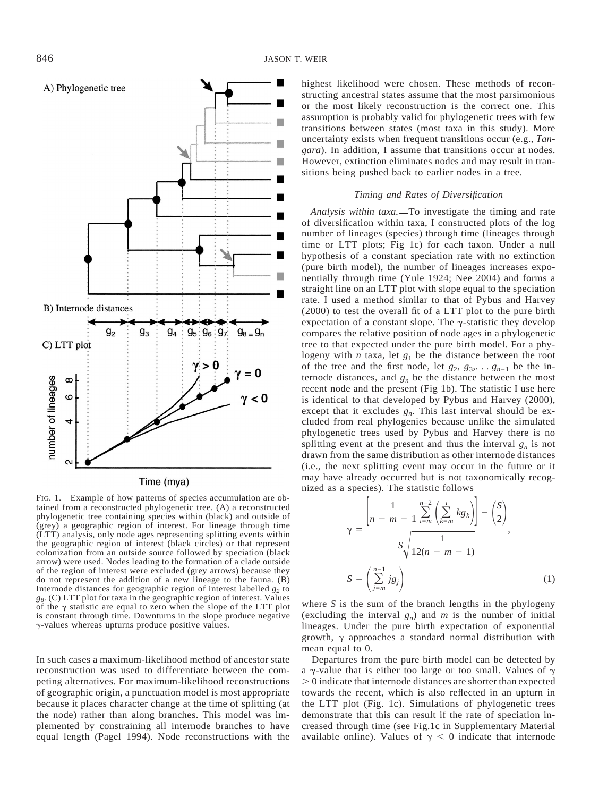



FIG. 1. Example of how patterns of species accumulation are obtained from a reconstructed phylogenetic tree. (A) a reconstructed phylogenetic tree containing species within (black) and outside of (grey) a geographic region of interest. For lineage through time (LTT) analysis, only node ages representing splitting events within the geographic region of interest (black circles) or that represent colonization from an outside source followed by speciation (black arrow) were used. Nodes leading to the formation of a clade outside of the region of interest were excluded (grey arrows) because they do not represent the addition of a new lineage to the fauna. (B) Internode distances for geographic region of interest labelled  $g_2$  to *g8*. (C) LTT plot for taxa in the geographic region of interest. Values of the  $\gamma$  statistic are equal to zero when the slope of the LTT plot is constant through time. Downturns in the slope produce negative  $\gamma$ -values whereas upturns produce positive values.

In such cases a maximum-likelihood method of ancestor state reconstruction was used to differentiate between the competing alternatives. For maximum-likelihood reconstructions of geographic origin, a punctuation model is most appropriate because it places character change at the time of splitting (at the node) rather than along branches. This model was implemented by constraining all internode branches to have equal length (Pagel 1994). Node reconstructions with the

highest likelihood were chosen. These methods of reconstructing ancestral states assume that the most parsimonious or the most likely reconstruction is the correct one. This assumption is probably valid for phylogenetic trees with few transitions between states (most taxa in this study). More uncertainty exists when frequent transitions occur (e.g., *Tangara*). In addition, I assume that transitions occur at nodes. However, extinction eliminates nodes and may result in transitions being pushed back to earlier nodes in a tree.

#### *Timing and Rates of Diversification*

*Analysis within taxa.*—To investigate the timing and rate of diversification within taxa, I constructed plots of the log number of lineages (species) through time (lineages through time or LTT plots; Fig 1c) for each taxon. Under a null hypothesis of a constant speciation rate with no extinction (pure birth model), the number of lineages increases exponentially through time (Yule 1924; Nee 2004) and forms a straight line on an LTT plot with slope equal to the speciation rate. I used a method similar to that of Pybus and Harvey (2000) to test the overall fit of a LTT plot to the pure birth expectation of a constant slope. The  $\gamma$ -statistic they develop compares the relative position of node ages in a phylogenetic tree to that expected under the pure birth model. For a phylogeny with *n* taxa, let  $g_1$  be the distance between the root of the tree and the first node, let  $g_2, g_3, \ldots, g_{n-1}$  be the internode distances, and  $g_n$  be the distance between the most recent node and the present (Fig 1b). The statistic I use here is identical to that developed by Pybus and Harvey (2000), except that it excludes  $g_n$ . This last interval should be excluded from real phylogenies because unlike the simulated phylogenetic trees used by Pybus and Harvey there is no splitting event at the present and thus the interval  $g_n$  is not drawn from the same distribution as other internode distances (i.e., the next splitting event may occur in the future or it may have already occurred but is not taxonomically recognized as a species). The statistic follows

$$
\gamma = \frac{\left[ \frac{1}{n-m-1} \sum_{i=m}^{n-2} \left( \sum_{k=m}^{i} kg_k \right) \right] - \left( \frac{S}{2} \right)}{S \sqrt{\frac{1}{12(n-m-1)}}},
$$
  

$$
S = \left( \sum_{j=m}^{n-1} jg_j \right)
$$
 (1)

where *S* is the sum of the branch lengths in the phylogeny (excluding the interval  $g_n$ ) and *m* is the number of initial lineages. Under the pure birth expectation of exponential growth,  $\gamma$  approaches a standard normal distribution with mean equal to 0.

Departures from the pure birth model can be detected by a  $\gamma$ -value that is either too large or too small. Values of  $\gamma$  $> 0$  indicate that internode distances are shorter than expected towards the recent, which is also reflected in an upturn in the LTT plot (Fig. 1c). Simulations of phylogenetic trees demonstrate that this can result if the rate of speciation increased through time (see Fig.1c in Supplementary Material available online). Values of  $\gamma < 0$  indicate that internode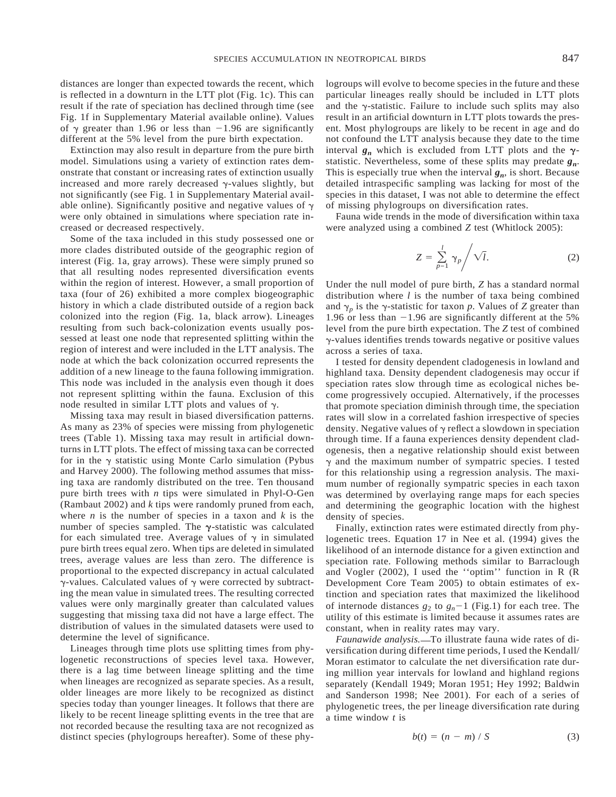distances are longer than expected towards the recent, which is reflected in a downturn in the LTT plot (Fig. 1c). This can result if the rate of speciation has declined through time (see Fig. 1f in Supplementary Material available online). Values of  $\gamma$  greater than 1.96 or less than  $-1.96$  are significantly different at the 5% level from the pure birth expectation.

Extinction may also result in departure from the pure birth model. Simulations using a variety of extinction rates demonstrate that constant or increasing rates of extinction usually increased and more rarely decreased  $\gamma$ -values slightly, but not significantly (see Fig. 1 in Supplementary Material available online). Significantly positive and negative values of  $\gamma$ were only obtained in simulations where speciation rate increased or decreased respectively.

Some of the taxa included in this study possessed one or more clades distributed outside of the geographic region of interest (Fig. 1a, gray arrows). These were simply pruned so that all resulting nodes represented diversification events within the region of interest. However, a small proportion of taxa (four of 26) exhibited a more complex biogeographic history in which a clade distributed outside of a region back colonized into the region (Fig. 1a, black arrow). Lineages resulting from such back-colonization events usually possessed at least one node that represented splitting within the region of interest and were included in the LTT analysis. The node at which the back colonization occurred represents the addition of a new lineage to the fauna following immigration. This node was included in the analysis even though it does not represent splitting within the fauna. Exclusion of this node resulted in similar LTT plots and values of  $\gamma$ .

Missing taxa may result in biased diversification patterns. As many as 23% of species were missing from phylogenetic trees (Table 1). Missing taxa may result in artificial downturns in LTT plots. The effect of missing taxa can be corrected for in the  $\gamma$  statistic using Monte Carlo simulation (Pybus and Harvey 2000). The following method assumes that missing taxa are randomly distributed on the tree. Ten thousand pure birth trees with *n* tips were simulated in Phyl-O-Gen (Rambaut 2002) and *k* tips were randomly pruned from each, where  $n$  is the number of species in a taxon and  $k$  is the number of species sampled. The  $\gamma$ -statistic was calculated for each simulated tree. Average values of  $\gamma$  in simulated pure birth trees equal zero. When tips are deleted in simulated trees, average values are less than zero. The difference is proportional to the expected discrepancy in actual calculated  $\gamma$ -values. Calculated values of  $\gamma$  were corrected by subtracting the mean value in simulated trees. The resulting corrected values were only marginally greater than calculated values suggesting that missing taxa did not have a large effect. The distribution of values in the simulated datasets were used to determine the level of significance.

Lineages through time plots use splitting times from phylogenetic reconstructions of species level taxa. However, there is a lag time between lineage splitting and the time when lineages are recognized as separate species. As a result, older lineages are more likely to be recognized as distinct species today than younger lineages. It follows that there are likely to be recent lineage splitting events in the tree that are not recorded because the resulting taxa are not recognized as distinct species (phylogroups hereafter). Some of these phylogroups will evolve to become species in the future and these particular lineages really should be included in LTT plots and the  $\gamma$ -statistic. Failure to include such splits may also result in an artificial downturn in LTT plots towards the present. Most phylogroups are likely to be recent in age and do not confound the LTT analysis because they date to the time interval  $g_n$  which is excluded from LTT plots and the  $\gamma$ statistic. Nevertheless, some of these splits may predate *gn*. This is especially true when the interval *gn*, is short. Because detailed intraspecific sampling was lacking for most of the species in this dataset, I was not able to determine the effect of missing phylogroups on diversification rates.

Fauna wide trends in the mode of diversification within taxa were analyzed using a combined *Z* test (Whitlock 2005):

$$
Z = \sum_{p=1}^{l} \gamma_p / \sqrt{l}.
$$
 (2)

Under the null model of pure birth, *Z* has a standard normal distribution where *l* is the number of taxa being combined and  $\gamma_p$  is the  $\gamma$ -statistic for taxon p. Values of Z greater than 1.96 or less than  $-1.96$  are significantly different at the 5% level from the pure birth expectation. The *Z* test of combined g-values identifies trends towards negative or positive values across a series of taxa.

I tested for density dependent cladogenesis in lowland and highland taxa. Density dependent cladogenesis may occur if speciation rates slow through time as ecological niches become progressively occupied. Alternatively, if the processes that promote speciation diminish through time, the speciation rates will slow in a correlated fashion irrespective of species density. Negative values of  $\gamma$  reflect a slowdown in speciation through time. If a fauna experiences density dependent cladogenesis, then a negative relationship should exist between  $\gamma$  and the maximum number of sympatric species. I tested for this relationship using a regression analysis. The maximum number of regionally sympatric species in each taxon was determined by overlaying range maps for each species and determining the geographic location with the highest density of species.

Finally, extinction rates were estimated directly from phylogenetic trees. Equation 17 in Nee et al. (1994) gives the likelihood of an internode distance for a given extinction and speciation rate. Following methods similar to Barraclough and Vogler (2002), I used the ''optim'' function in R (R Development Core Team 2005) to obtain estimates of extinction and speciation rates that maximized the likelihood of internode distances  $g_2$  to  $g_n-1$  (Fig.1) for each tree. The utility of this estimate is limited because it assumes rates are constant, when in reality rates may vary.

*Faunawide analysis.* To illustrate fauna wide rates of diversification during different time periods, I used the Kendall/ Moran estimator to calculate the net diversification rate during million year intervals for lowland and highland regions separately (Kendall 1949; Moran 1951; Hey 1992; Baldwin and Sanderson 1998; Nee 2001). For each of a series of phylogenetic trees, the per lineage diversification rate during a time window *t* is

$$
b(t) = (n - m) / S \tag{3}
$$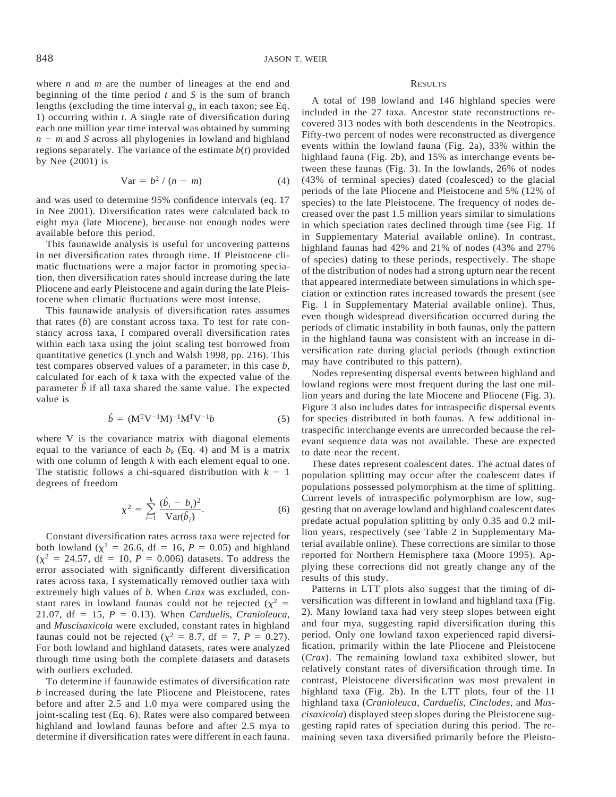where *n* and *m* are the number of lineages at the end and beginning of the time period *t* and *S* is the sum of branch lengths (excluding the time interval  $g_n$  in each taxon; see Eq. 1) occurring within *t*. A single rate of diversification during each one million year time interval was obtained by summing  $n - m$  and *S* across all phylogenies in lowland and highland regions separately. The variance of the estimate  $b(t)$  provided by Nee (2001) is

$$
Var = b^2 / (n - m) \tag{4}
$$

and was used to determine 95% confidence intervals (eq. 17 in Nee 2001). Diversification rates were calculated back to eight mya (late Miocene), because not enough nodes were available before this period.

This faunawide analysis is useful for uncovering patterns in net diversification rates through time. If Pleistocene climatic fluctuations were a major factor in promoting speciation, then diversification rates should increase during the late Pliocene and early Pleistocene and again during the late Pleistocene when climatic fluctuations were most intense.

This faunawide analysis of diversification rates assumes that rates (*b*) are constant across taxa. To test for rate constancy across taxa, I compared overall diversification rates within each taxa using the joint scaling test borrowed from quantitative genetics (Lynch and Walsh 1998, pp. 216). This test compares observed values of a parameter, in this case *b*, calculated for each of *k* taxa with the expected value of the parameter  $\hat{b}$  if all taxa shared the same value. The expected value is

$$
\hat{b} = (M^{T}V^{-1}M)^{-1}M^{T}V^{-1}b
$$
\n(5)

where V is the covariance matrix with diagonal elements equal to the variance of each  $b_k$  (Eq. 4) and M is a matrix with one column of length *k* with each element equal to one. The statistic follows a chi-squared distribution with  $k - 1$ degrees of freedom

$$
\chi^{2} = \sum_{i=1}^{k} \frac{(\hat{b}_{i} - b_{i})^{2}}{\text{Var}(\hat{b}_{i})}.
$$
 (6)

Constant diversification rates across taxa were rejected for both lowland ( $\chi^2$  = 26.6, df = 16, *P* = 0.05) and highland  $(\chi^2 = 24.57, df = 10, P = 0.006)$  datasets. To address the error associated with significantly different diversification rates across taxa, I systematically removed outlier taxa with extremely high values of *b*. When *Crax* was excluded, constant rates in lowland faunas could not be rejected ( $\chi^2$  = 21.07,  $df = 15$ ,  $P = 0.13$ ). When *Carduelis*, *Cranioleuca*, and *Muscisaxicola* were excluded, constant rates in highland faunas could not be rejected ( $\chi^2 = 8.7$ , df = 7, *P* = 0.27). For both lowland and highland datasets, rates were analyzed through time using both the complete datasets and datasets with outliers excluded.

To determine if faunawide estimates of diversification rate *b* increased during the late Pliocene and Pleistocene, rates before and after 2.5 and 1.0 mya were compared using the joint-scaling test (Eq. 6). Rates were also compared between highland and lowland faunas before and after 2.5 mya to determine if diversification rates were different in each fauna.

## **RESULTS**

A total of 198 lowland and 146 highland species were included in the 27 taxa. Ancestor state reconstructions recovered 313 nodes with both descendents in the Neotropics. Fifty-two percent of nodes were reconstructed as divergence events within the lowland fauna (Fig. 2a), 33% within the highland fauna (Fig. 2b), and 15% as interchange events between these faunas (Fig. 3). In the lowlands, 26% of nodes (43% of terminal species) dated (coalesced) to the glacial periods of the late Pliocene and Pleistocene and 5% (12% of species) to the late Pleistocene. The frequency of nodes decreased over the past 1.5 million years similar to simulations in which speciation rates declined through time (see Fig. 1f in Supplementary Material available online). In contrast, highland faunas had 42% and 21% of nodes (43% and 27% of species) dating to these periods, respectively. The shape of the distribution of nodes had a strong upturn near the recent that appeared intermediate between simulations in which speciation or extinction rates increased towards the present (see Fig. 1 in Supplementary Material available online). Thus, even though widespread diversification occurred during the periods of climatic instability in both faunas, only the pattern in the highland fauna was consistent with an increase in diversification rate during glacial periods (though extinction may have contributed to this pattern).

Nodes representing dispersal events between highland and lowland regions were most frequent during the last one million years and during the late Miocene and Pliocene (Fig. 3). Figure 3 also includes dates for intraspecific dispersal events for species distributed in both faunas. A few additional intraspecific interchange events are unrecorded because the relevant sequence data was not available. These are expected to date near the recent.

These dates represent coalescent dates. The actual dates of population splitting may occur after the coalescent dates if populations possessed polymorphism at the time of splitting. Current levels of intraspecific polymorphism are low, suggesting that on average lowland and highland coalescent dates predate actual population splitting by only 0.35 and 0.2 million years, respectively (see Table 2 in Supplementary Material available online). These corrections are similar to those reported for Northern Hemisphere taxa (Moore 1995). Applying these corrections did not greatly change any of the results of this study.

Patterns in LTT plots also suggest that the timing of diversification was different in lowland and highland taxa (Fig. 2). Many lowland taxa had very steep slopes between eight and four mya, suggesting rapid diversification during this period. Only one lowland taxon experienced rapid diversification, primarily within the late Pliocene and Pleistocene (*Crax*). The remaining lowland taxa exhibited slower, but relatively constant rates of diversification through time. In contrast, Pleistocene diversification was most prevalent in highland taxa (Fig. 2b). In the LTT plots, four of the 11 highland taxa (*Cranioleuca*, *Carduelis*, *Cinclodes*, and *Muscisaxicola*) displayed steep slopes during the Pleistocene suggesting rapid rates of speciation during this period. The remaining seven taxa diversified primarily before the Pleisto-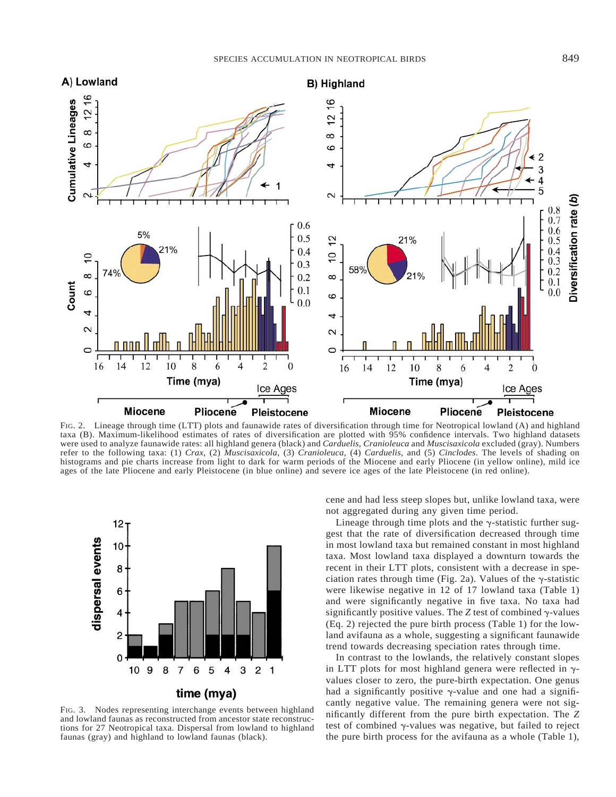

FIG. 2. Lineage through time (LTT) plots and faunawide rates of diversification through time for Neotropical lowland (A) and highland taxa (B). Maximum-likelihood estimates of rates of diversification are plotted with 95% confidence intervals. Two highland datasets were used to analyze faunawide rates: all highland genera (black) and *Carduelis*, *Cranioleuca* and *Muscisaxicola* excluded (gray). Numbers refer to the following taxa: (1) *Crax*, (2) *Muscisaxicola*, (3) *Cranioleuca*, (4) *Carduelis*, and (5) *Cinclodes*. The levels of shading on histograms and pie charts increase from light to dark for warm periods of the Miocene and early Pliocene (in yellow online), mild ice ages of the late Pliocene and early Pleistocene (in blue online) and severe ice ages of the late Pleistocene (in red online).



FIG. 3. Nodes representing interchange events between highland and lowland faunas as reconstructed from ancestor state reconstructions for 27 Neotropical taxa. Dispersal from lowland to highland faunas (gray) and highland to lowland faunas (black).

cene and had less steep slopes but, unlike lowland taxa, were not aggregated during any given time period.

Lineage through time plots and the  $\gamma$ -statistic further suggest that the rate of diversification decreased through time in most lowland taxa but remained constant in most highland taxa. Most lowland taxa displayed a downturn towards the recent in their LTT plots, consistent with a decrease in speciation rates through time (Fig. 2a). Values of the  $\gamma$ -statistic were likewise negative in 12 of 17 lowland taxa (Table 1) and were significantly negative in five taxa. No taxa had significantly positive values. The  $Z$  test of combined  $\gamma$ -values (Eq. 2) rejected the pure birth process (Table 1) for the lowland avifauna as a whole, suggesting a significant faunawide trend towards decreasing speciation rates through time.

In contrast to the lowlands, the relatively constant slopes in LTT plots for most highland genera were reflected in  $\gamma$ values closer to zero, the pure-birth expectation. One genus had a significantly positive  $\gamma$ -value and one had a significantly negative value. The remaining genera were not significantly different from the pure birth expectation. The *Z* test of combined  $\gamma$ -values was negative, but failed to reject the pure birth process for the avifauna as a whole (Table 1),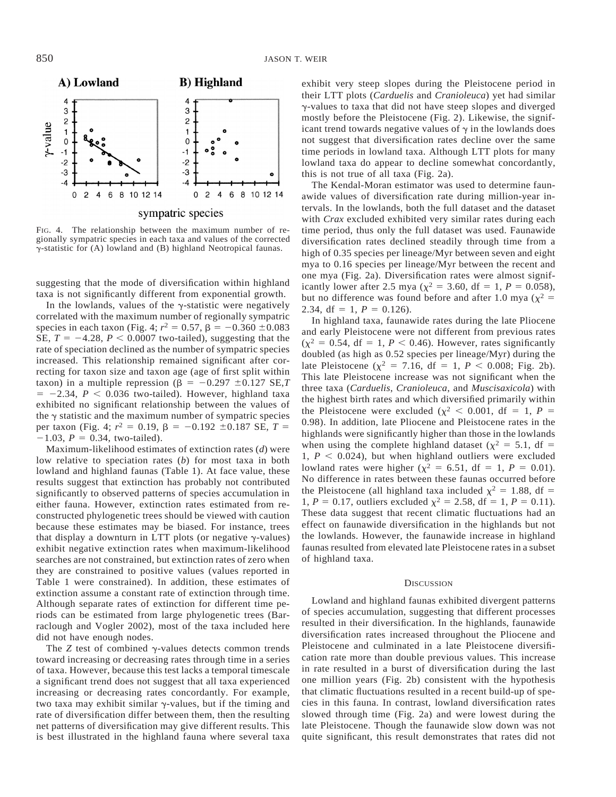

FIG. 4. The relationship between the maximum number of regionally sympatric species in each taxa and values of the corrected g-statistic for (A) lowland and (B) highland Neotropical faunas.

suggesting that the mode of diversification within highland taxa is not significantly different from exponential growth.

In the lowlands, values of the  $\gamma$ -statistic were negatively correlated with the maximum number of regionally sympatric species in each taxon (Fig. 4;  $r^2 = 0.57$ ,  $\beta = -0.360 \pm 0.083$ SE,  $T = -4.28$ ,  $P < 0.0007$  two-tailed), suggesting that the rate of speciation declined as the number of sympatric species increased. This relationship remained significant after correcting for taxon size and taxon age (age of first split within taxon) in a multiple repression ( $\beta = -0.297 \pm 0.127$  SE,*T*  $= -2.34$ ,  $P < 0.036$  two-tailed). However, highland taxa exhibited no significant relationship between the values of the  $\gamma$  statistic and the maximum number of sympatric species per taxon (Fig. 4;  $r^2 = 0.19$ ,  $\beta = -0.192 \pm 0.187$  SE,  $T =$  $-1.03$ ,  $P = 0.34$ , two-tailed).

Maximum-likelihood estimates of extinction rates (*d*) were low relative to speciation rates (*b*) for most taxa in both lowland and highland faunas (Table 1). At face value, these results suggest that extinction has probably not contributed significantly to observed patterns of species accumulation in either fauna. However, extinction rates estimated from reconstructed phylogenetic trees should be viewed with caution because these estimates may be biased. For instance, trees that display a downturn in LTT plots (or negative  $\gamma$ -values) exhibit negative extinction rates when maximum-likelihood searches are not constrained, but extinction rates of zero when they are constrained to positive values (values reported in Table 1 were constrained). In addition, these estimates of extinction assume a constant rate of extinction through time. Although separate rates of extinction for different time periods can be estimated from large phylogenetic trees (Barraclough and Vogler 2002), most of the taxa included here did not have enough nodes.

The  $Z$  test of combined  $\gamma$ -values detects common trends toward increasing or decreasing rates through time in a series of taxa. However, because this test lacks a temporal timescale a significant trend does not suggest that all taxa experienced increasing or decreasing rates concordantly. For example, two taxa may exhibit similar  $\gamma$ -values, but if the timing and rate of diversification differ between them, then the resulting net patterns of diversification may give different results. This is best illustrated in the highland fauna where several taxa

exhibit very steep slopes during the Pleistocene period in their LTT plots (*Carduelis* and *Cranioleuca*) yet had similar  $\gamma$ -values to taxa that did not have steep slopes and diverged mostly before the Pleistocene (Fig. 2). Likewise, the significant trend towards negative values of  $\gamma$  in the lowlands does not suggest that diversification rates decline over the same time periods in lowland taxa. Although LTT plots for many lowland taxa do appear to decline somewhat concordantly, this is not true of all taxa (Fig. 2a).

The Kendal-Moran estimator was used to determine faunawide values of diversification rate during million-year intervals. In the lowlands, both the full dataset and the dataset with *Crax* excluded exhibited very similar rates during each time period, thus only the full dataset was used. Faunawide diversification rates declined steadily through time from a high of 0.35 species per lineage/Myr between seven and eight mya to 0.16 species per lineage/Myr between the recent and one mya (Fig. 2a). Diversification rates were almost significantly lower after 2.5 mya ( $\chi^2$  = 3.60, df = 1, *P* = 0.058), but no difference was found before and after 1.0 mya ( $\chi^2$  = 2.34, df = 1,  $P = 0.126$ .

In highland taxa, faunawide rates during the late Pliocene and early Pleistocene were not different from previous rates  $(\chi^2 = 0.54, df = 1, P < 0.46)$ . However, rates significantly doubled (as high as 0.52 species per lineage/Myr) during the late Pleistocene ( $\chi^2 = 7.16$ , df = 1, *P* < 0.008; Fig. 2b). This late Pleistocene increase was not significant when the three taxa (*Carduelis*, *Cranioleuca*, and *Muscisaxicola*) with the highest birth rates and which diversified primarily within the Pleistocene were excluded ( $\chi^2$  < 0.001, df = 1, *P* = 0.98). In addition, late Pliocene and Pleistocene rates in the highlands were significantly higher than those in the lowlands when using the complete highland dataset ( $\chi^2 = 5.1$ , df = 1,  $P$  < 0.024), but when highland outliers were excluded lowland rates were higher ( $\chi^2 = 6.51$ , df = 1, *P* = 0.01). No difference in rates between these faunas occurred before the Pleistocene (all highland taxa included  $\chi^2 = 1.88$ , df = 1,  $P = 0.17$ , outliers excluded  $\chi^2 = 2.58$ , df = 1,  $P = 0.11$ ). These data suggest that recent climatic fluctuations had an effect on faunawide diversification in the highlands but not the lowlands. However, the faunawide increase in highland faunas resulted from elevated late Pleistocene rates in a subset of highland taxa.

#### **DISCUSSION**

Lowland and highland faunas exhibited divergent patterns of species accumulation, suggesting that different processes resulted in their diversification. In the highlands, faunawide diversification rates increased throughout the Pliocene and Pleistocene and culminated in a late Pleistocene diversification rate more than double previous values. This increase in rate resulted in a burst of diversification during the last one million years (Fig. 2b) consistent with the hypothesis that climatic fluctuations resulted in a recent build-up of species in this fauna. In contrast, lowland diversification rates slowed through time (Fig. 2a) and were lowest during the late Pleistocene. Though the faunawide slow down was not quite significant, this result demonstrates that rates did not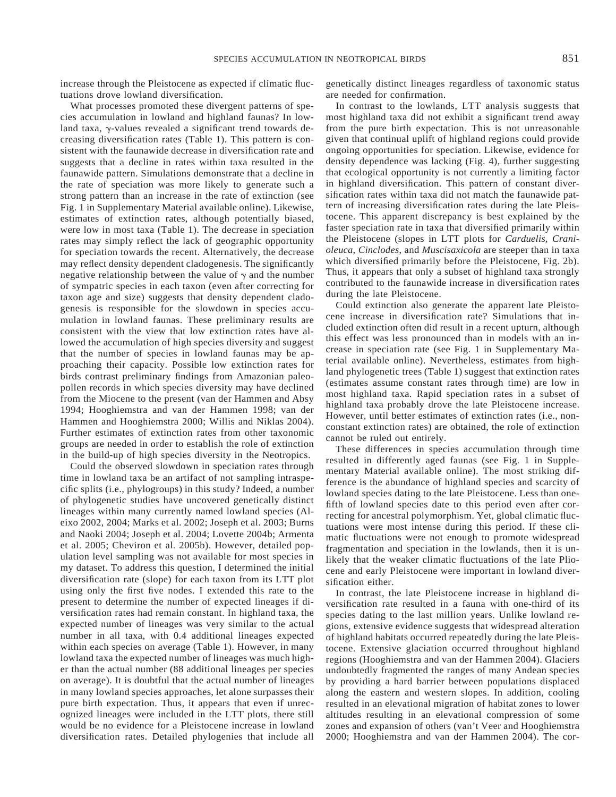increase through the Pleistocene as expected if climatic fluctuations drove lowland diversification.

What processes promoted these divergent patterns of species accumulation in lowland and highland faunas? In lowland taxa,  $\gamma$ -values revealed a significant trend towards decreasing diversification rates (Table 1). This pattern is consistent with the faunawide decrease in diversification rate and suggests that a decline in rates within taxa resulted in the faunawide pattern. Simulations demonstrate that a decline in the rate of speciation was more likely to generate such a strong pattern than an increase in the rate of extinction (see Fig. 1 in Supplementary Material available online). Likewise, estimates of extinction rates, although potentially biased, were low in most taxa (Table 1). The decrease in speciation rates may simply reflect the lack of geographic opportunity for speciation towards the recent. Alternatively, the decrease may reflect density dependent cladogenesis. The significantly negative relationship between the value of  $\gamma$  and the number of sympatric species in each taxon (even after correcting for taxon age and size) suggests that density dependent cladogenesis is responsible for the slowdown in species accumulation in lowland faunas. These preliminary results are consistent with the view that low extinction rates have allowed the accumulation of high species diversity and suggest that the number of species in lowland faunas may be approaching their capacity. Possible low extinction rates for birds contrast preliminary findings from Amazonian paleopollen records in which species diversity may have declined from the Miocene to the present (van der Hammen and Absy 1994; Hooghiemstra and van der Hammen 1998; van der Hammen and Hooghiemstra 2000; Willis and Niklas 2004). Further estimates of extinction rates from other taxonomic groups are needed in order to establish the role of extinction in the build-up of high species diversity in the Neotropics.

Could the observed slowdown in speciation rates through time in lowland taxa be an artifact of not sampling intraspecific splits (i.e., phylogroups) in this study? Indeed, a number of phylogenetic studies have uncovered genetically distinct lineages within many currently named lowland species (Aleixo 2002, 2004; Marks et al. 2002; Joseph et al. 2003; Burns and Naoki 2004; Joseph et al. 2004; Lovette 2004b; Armenta et al. 2005; Cheviron et al. 2005b). However, detailed population level sampling was not available for most species in my dataset. To address this question, I determined the initial diversification rate (slope) for each taxon from its LTT plot using only the first five nodes. I extended this rate to the present to determine the number of expected lineages if diversification rates had remain constant. In highland taxa, the expected number of lineages was very similar to the actual number in all taxa, with 0.4 additional lineages expected within each species on average (Table 1). However, in many lowland taxa the expected number of lineages was much higher than the actual number (88 additional lineages per species on average). It is doubtful that the actual number of lineages in many lowland species approaches, let alone surpasses their pure birth expectation. Thus, it appears that even if unrecognized lineages were included in the LTT plots, there still would be no evidence for a Pleistocene increase in lowland diversification rates. Detailed phylogenies that include all

genetically distinct lineages regardless of taxonomic status are needed for confirmation.

In contrast to the lowlands, LTT analysis suggests that most highland taxa did not exhibit a significant trend away from the pure birth expectation. This is not unreasonable given that continual uplift of highland regions could provide ongoing opportunities for speciation. Likewise, evidence for density dependence was lacking (Fig. 4), further suggesting that ecological opportunity is not currently a limiting factor in highland diversification. This pattern of constant diversification rates within taxa did not match the faunawide pattern of increasing diversification rates during the late Pleistocene. This apparent discrepancy is best explained by the faster speciation rate in taxa that diversified primarily within the Pleistocene (slopes in LTT plots for *Carduelis*, *Cranioleuca*, *Cinclodes*, and *Muscisaxicola* are steeper than in taxa which diversified primarily before the Pleistocene, Fig. 2b). Thus, it appears that only a subset of highland taxa strongly contributed to the faunawide increase in diversification rates during the late Pleistocene.

Could extinction also generate the apparent late Pleistocene increase in diversification rate? Simulations that included extinction often did result in a recent upturn, although this effect was less pronounced than in models with an increase in speciation rate (see Fig. 1 in Supplementary Material available online). Nevertheless, estimates from highland phylogenetic trees (Table 1) suggest that extinction rates (estimates assume constant rates through time) are low in most highland taxa. Rapid speciation rates in a subset of highland taxa probably drove the late Pleistocene increase. However, until better estimates of extinction rates (i.e., nonconstant extinction rates) are obtained, the role of extinction cannot be ruled out entirely.

These differences in species accumulation through time resulted in differently aged faunas (see Fig. 1 in Supplementary Material available online). The most striking difference is the abundance of highland species and scarcity of lowland species dating to the late Pleistocene. Less than onefifth of lowland species date to this period even after correcting for ancestral polymorphism. Yet, global climatic fluctuations were most intense during this period. If these climatic fluctuations were not enough to promote widespread fragmentation and speciation in the lowlands, then it is unlikely that the weaker climatic fluctuations of the late Pliocene and early Pleistocene were important in lowland diversification either.

In contrast, the late Pleistocene increase in highland diversification rate resulted in a fauna with one-third of its species dating to the last million years. Unlike lowland regions, extensive evidence suggests that widespread alteration of highland habitats occurred repeatedly during the late Pleistocene. Extensive glaciation occurred throughout highland regions (Hooghiemstra and van der Hammen 2004). Glaciers undoubtedly fragmented the ranges of many Andean species by providing a hard barrier between populations displaced along the eastern and western slopes. In addition, cooling resulted in an elevational migration of habitat zones to lower altitudes resulting in an elevational compression of some zones and expansion of others (van't Veer and Hooghiemstra 2000; Hooghiemstra and van der Hammen 2004). The cor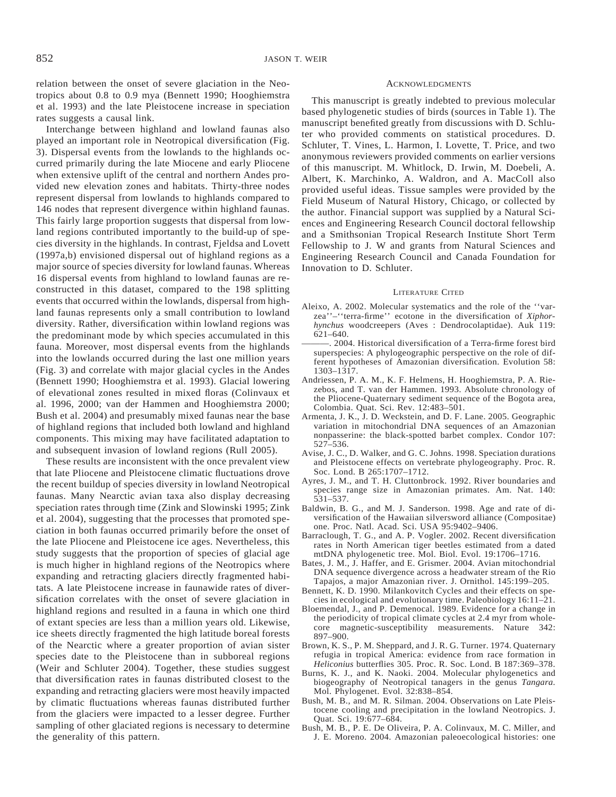relation between the onset of severe glaciation in the Neotropics about 0.8 to 0.9 mya (Bennett 1990; Hooghiemstra et al. 1993) and the late Pleistocene increase in speciation rates suggests a causal link.

Interchange between highland and lowland faunas also played an important role in Neotropical diversification (Fig. 3). Dispersal events from the lowlands to the highlands occurred primarily during the late Miocene and early Pliocene when extensive uplift of the central and northern Andes provided new elevation zones and habitats. Thirty-three nodes represent dispersal from lowlands to highlands compared to 146 nodes that represent divergence within highland faunas. This fairly large proportion suggests that dispersal from lowland regions contributed importantly to the build-up of species diversity in the highlands. In contrast, Fjeldsa and Lovett (1997a,b) envisioned dispersal out of highland regions as a major source of species diversity for lowland faunas. Whereas 16 dispersal events from highland to lowland faunas are reconstructed in this dataset, compared to the 198 splitting events that occurred within the lowlands, dispersal from highland faunas represents only a small contribution to lowland diversity. Rather, diversification within lowland regions was the predominant mode by which species accumulated in this fauna. Moreover, most dispersal events from the highlands into the lowlands occurred during the last one million years (Fig. 3) and correlate with major glacial cycles in the Andes (Bennett 1990; Hooghiemstra et al. 1993). Glacial lowering of elevational zones resulted in mixed floras (Colinvaux et al. 1996, 2000; van der Hammen and Hooghiemstra 2000; Bush et al. 2004) and presumably mixed faunas near the base of highland regions that included both lowland and highland components. This mixing may have facilitated adaptation to and subsequent invasion of lowland regions (Rull 2005).

These results are inconsistent with the once prevalent view that late Pliocene and Pleistocene climatic fluctuations drove the recent buildup of species diversity in lowland Neotropical faunas. Many Nearctic avian taxa also display decreasing speciation rates through time (Zink and Slowinski 1995; Zink et al. 2004), suggesting that the processes that promoted speciation in both faunas occurred primarily before the onset of the late Pliocene and Pleistocene ice ages. Nevertheless, this study suggests that the proportion of species of glacial age is much higher in highland regions of the Neotropics where expanding and retracting glaciers directly fragmented habitats. A late Pleistocene increase in faunawide rates of diversification correlates with the onset of severe glaciation in highland regions and resulted in a fauna in which one third of extant species are less than a million years old. Likewise, ice sheets directly fragmented the high latitude boreal forests of the Nearctic where a greater proportion of avian sister species date to the Pleistocene than in subboreal regions (Weir and Schluter 2004). Together, these studies suggest that diversification rates in faunas distributed closest to the expanding and retracting glaciers were most heavily impacted by climatic fluctuations whereas faunas distributed further from the glaciers were impacted to a lesser degree. Further sampling of other glaciated regions is necessary to determine the generality of this pattern.

#### ACKNOWLEDGMENTS

This manuscript is greatly indebted to previous molecular based phylogenetic studies of birds (sources in Table 1). The manuscript benefited greatly from discussions with D. Schluter who provided comments on statistical procedures. D. Schluter, T. Vines, L. Harmon, I. Lovette, T. Price, and two anonymous reviewers provided comments on earlier versions of this manuscript. M. Whitlock, D. Irwin, M. Doebeli, A. Albert, K. Marchinko, A. Waldron, and A. MacColl also provided useful ideas. Tissue samples were provided by the Field Museum of Natural History, Chicago, or collected by the author. Financial support was supplied by a Natural Sciences and Engineering Research Council doctoral fellowship and a Smithsonian Tropical Research Institute Short Term Fellowship to J. W and grants from Natural Sciences and Engineering Research Council and Canada Foundation for Innovation to D. Schluter.

#### LITERATURE CITED

- Aleixo, A. 2002. Molecular systematics and the role of the ''varzea''–''terra-firme'' ecotone in the diversification of *Xiphorhynchus* woodcreepers (Aves : Dendrocolaptidae). Auk 119: 621–640.
- ———. 2004. Historical diversification of a Terra-firme forest bird superspecies: A phylogeographic perspective on the role of different hypotheses of Amazonian diversification. Evolution 58: 1303–1317.
- Andriessen, P. A. M., K. F. Helmens, H. Hooghiemstra, P. A. Riezebos, and T. van der Hammen. 1993. Absolute chronology of the Pliocene-Quaternary sediment sequence of the Bogota area, Colombia. Quat. Sci. Rev. 12:483–501.
- Armenta, J. K., J. D. Weckstein, and D. F. Lane. 2005. Geographic variation in mitochondrial DNA sequences of an Amazonian nonpasserine: the black-spotted barbet complex. Condor 107: 527–536.
- Avise, J. C., D. Walker, and G. C. Johns. 1998. Speciation durations and Pleistocene effects on vertebrate phylogeography. Proc. R. Soc. Lond. B 265:1707–1712.
- Ayres, J. M., and T. H. Cluttonbrock. 1992. River boundaries and species range size in Amazonian primates. Am. Nat. 140: 531–537.
- Baldwin, B. G., and M. J. Sanderson. 1998. Age and rate of diversification of the Hawaiian silversword alliance (Compositae) one. Proc. Natl. Acad. Sci. USA 95:9402–9406.
- Barraclough, T. G., and A. P. Vogler. 2002. Recent diversification rates in North American tiger beetles estimated from a dated mtDNA phylogenetic tree. Mol. Biol. Evol. 19:1706–1716.
- Bates, J. M., J. Haffer, and E. Grismer. 2004. Avian mitochondrial DNA sequence divergence across a headwater stream of the Rio Tapajos, a major Amazonian river. J. Ornithol. 145:199–205.
- Bennett, K. D. 1990. Milankovitch Cycles and their effects on species in ecological and evolutionary time. Paleobiology 16:11–21.
- Bloemendal, J., and P. Demenocal. 1989. Evidence for a change in the periodicity of tropical climate cycles at 2.4 myr from wholecore magnetic-susceptibility measurements. Nature 342: 897–900.
- Brown, K. S., P. M. Sheppard, and J. R. G. Turner. 1974. Quaternary refugia in tropical America: evidence from race formation in *Heliconius* butterflies 305. Proc. R. Soc. Lond. B 187:369–378.
- Burns, K. J., and K. Naoki. 2004. Molecular phylogenetics and biogeography of Neotropical tanagers in the genus *Tangara*. Mol. Phylogenet. Evol. 32:838–854.
- Bush, M. B., and M. R. Silman. 2004. Observations on Late Pleistocene cooling and precipitation in the lowland Neotropics. J. Quat. Sci. 19:677–684.
- Bush, M. B., P. E. De Oliveira, P. A. Colinvaux, M. C. Miller, and J. E. Moreno. 2004. Amazonian paleoecological histories: one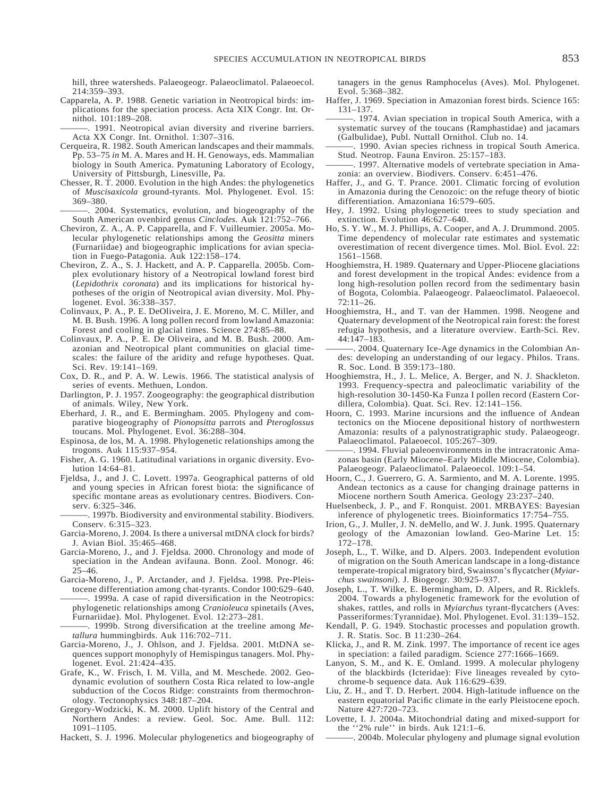hill, three watersheds. Palaeogeogr. Palaeoclimatol. Palaeoecol. 214:359–393.

- Capparela, A. P. 1988. Genetic variation in Neotropical birds: implications for the speciation process. Acta XIX Congr. Int. Ornithol. 101:189–208.
- ———. 1991. Neotropical avian diversity and riverine barriers. Acta XX Congr. Int. Ornithol. 1:307–316.
- Cerqueira, R. 1982. South American landscapes and their mammals. Pp. 53–75 *in* M. A. Mares and H. H. Genoways, eds. Mammalian biology in South America. Pymatuning Laboratory of Ecology, University of Pittsburgh, Linesville, Pa.
- Chesser, R. T. 2000. Evolution in the high Andes: the phylogenetics of *Muscisaxicola* ground-tyrants. Mol. Phylogenet. Evol. 15: 369–380.
- 2004. Systematics, evolution, and biogeography of the South American ovenbird genus *Cinclodes*. Auk 121:752–766.
- Cheviron, Z. A., A. P. Capparella, and F. Vuilleumier. 2005a. Molecular phylogenetic relationships among the *Geositta* miners (Furnariidae) and biogeographic implications for avian speciation in Fuego-Patagonia. Auk 122:158–174.
- Cheviron, Z. A., S. J. Hackett, and A. P. Capparella. 2005b. Complex evolutionary history of a Neotropical lowland forest bird (*Lepidothrix coronata*) and its implications for historical hypotheses of the origin of Neotropical avian diversity. Mol. Phylogenet. Evol. 36:338–357.
- Colinvaux, P. A., P. E. DeOliveira, J. E. Moreno, M. C. Miller, and M. B. Bush. 1996. A long pollen record from lowland Amazonia: Forest and cooling in glacial times. Science 274:85–88.
- Colinvaux, P. A., P. E. De Oliveira, and M. B. Bush. 2000. Amazonian and Neotropical plant communities on glacial timescales: the failure of the aridity and refuge hypotheses. Quat. Sci. Rev. 19:141–169.
- Cox, D. R., and P. A. W. Lewis. 1966. The statistical analysis of series of events. Methuen, London.
- Darlington, P. J. 1957. Zoogeography: the geographical distribution of animals. Wiley, New York.
- Eberhard, J. R., and E. Bermingham. 2005. Phylogeny and comparative biogeography of *Pionopsitta* parrots and *Pteroglossus* toucans. Mol. Phylogenet. Evol. 36:288–304.
- Espinosa, de los, M. A. 1998. Phylogenetic relationships among the trogons. Auk 115:937–954.
- Fisher, A. G. 1960. Latitudinal variations in organic diversity. Evolution 14:64–81.
- Fjeldsa, J., and J. C. Lovett. 1997a. Geographical patterns of old and young species in African forest biota: the significance of specific montane areas as evolutionary centres. Biodivers. Conserv. 6:325–346.
- -. 1997b. Biodiversity and environmental stability. Biodivers. Conserv. 6:315–323.
- Garcia-Moreno, J. 2004. Is there a universal mtDNA clock for birds? J. Avian Biol. 35:465–468.
- Garcia-Moreno, J., and J. Fjeldsa. 2000. Chronology and mode of speciation in the Andean avifauna. Bonn. Zool. Monogr. 46: 25–46.
- Garcia-Moreno, J., P. Arctander, and J. Fjeldsa. 1998. Pre-Pleistocene differentiation among chat-tyrants. Condor 100:629–640. . 1999a. A case of rapid diversification in the Neotropics: phylogenetic relationships among *Cranioleuca* spinetails (Aves, Furnariidae). Mol. Phylogenet. Evol. 12:273–281.
- ———. 1999b. Strong diversification at the treeline among *Metallura* hummingbirds. Auk 116:702–711.
- Garcia-Moreno, J., J. Ohlson, and J. Fjeldsa. 2001. MtDNA sequences support monophyly of Hemispingus tanagers. Mol. Phylogenet. Evol. 21:424–435.
- Grafe, K., W. Frisch, I. M. Villa, and M. Meschede. 2002. Geodynamic evolution of southern Costa Rica related to low-angle subduction of the Cocos Ridge: constraints from thermochronology. Tectonophysics 348:187–204.
- Gregory-Wodzicki, K. M. 2000. Uplift history of the Central and Northern Andes: a review. Geol. Soc. Ame. Bull. 112: 1091–1105.
- Hackett, S. J. 1996. Molecular phylogenetics and biogeography of

tanagers in the genus Ramphocelus (Aves). Mol. Phylogenet. Evol. 5:368–382.

- Haffer, J. 1969. Speciation in Amazonian forest birds. Science 165: 131–137.
- ———. 1974. Avian speciation in tropical South America, with a systematic survey of the toucans (Ramphastidae) and jacamars (Galbulidae), Publ. Nuttall Ornithol. Club no. 14.
- 1990. Avian species richness in tropical South America. Stud. Neotrop. Fauna Environ. 25:157–183.
- ———. 1997. Alternative models of vertebrate speciation in Amazonia: an overview. Biodivers. Conserv. 6:451–476.
- Haffer, J., and G. T. Prance. 2001. Climatic forcing of evolution in Amazonia during the Cenozoic: on the refuge theory of biotic differentiation. Amazoniana 16:579–605.
- Hey, J. 1992. Using phylogenetic trees to study speciation and extinction. Evolution 46:627–640.
- Ho, S. Y. W., M. J. Phillips, A. Cooper, and A. J. Drummond. 2005. Time dependency of molecular rate estimates and systematic overestimation of recent divergence times. Mol. Biol. Evol. 22: 1561–1568.
- Hooghiemstra, H. 1989. Quaternary and Upper-Pliocene glaciations and forest development in the tropical Andes: evidence from a long high-resolution pollen record from the sedimentary basin of Bogota, Colombia. Palaeogeogr. Palaeoclimatol. Palaeoecol. 72:11–26.
- Hooghiemstra, H., and T. van der Hammen. 1998. Neogene and Quaternary development of the Neotropical rain forest: the forest refugia hypothesis, and a literature overview. Earth-Sci. Rev. 44:147–183.
- -. 2004. Quaternary Ice-Age dynamics in the Colombian Andes: developing an understanding of our legacy. Philos. Trans. R. Soc. Lond. B 359:173–180.
- Hooghiemstra, H., J. L. Melice, A. Berger, and N. J. Shackleton. 1993. Frequency-spectra and paleoclimatic variability of the high-resolution 30-1450-Ka Funza I pollen record (Eastern Cordillera, Colombia). Quat. Sci. Rev. 12:141–156.
- Hoorn, C. 1993. Marine incursions and the influence of Andean tectonics on the Miocene depositional history of northwestern Amazonia: results of a palynostratigraphic study. Palaeogeogr. Palaeoclimatol. Palaeoecol. 105:267–309.
- 1994. Fluvial paleoenvironments in the intracratonic Amazonas basin (Early Miocene–Early Middle Miocene, Colombia). Palaeogeogr. Palaeoclimatol. Palaeoecol. 109:1–54.
- Hoorn, C., J. Guerrero, G. A. Sarmiento, and M. A. Lorente. 1995. Andean tectonics as a cause for changing drainage patterns in Miocene northern South America. Geology 23:237–240.
- Huelsenbeck, J. P., and F. Ronquist. 2001. MRBAYES: Bayesian inference of phylogenetic trees. Bioinformatics 17:754–755.
- Irion, G., J. Muller, J. N. deMello, and W. J. Junk. 1995. Quaternary geology of the Amazonian lowland. Geo-Marine Let. 15: 172–178.
- Joseph, L., T. Wilke, and D. Alpers. 2003. Independent evolution of migration on the South American landscape in a long-distance temperate-tropical migratory bird, Swainson's flycatcher (*Myiarchus swainsoni*). J. Biogeogr. 30:925–937.
- Joseph, L., T. Wilke, E. Bermingham, D. Alpers, and R. Ricklefs. 2004. Towards a phylogenetic framework for the evolution of shakes, rattles, and rolls in *Myiarchus* tyrant-flycatchers (Aves: Passeriformes:Tyrannidae). Mol. Phylogenet. Evol. 31:139–152.
- Kendall, P. G. 1949. Stochastic processes and population growth. J. R. Statis. Soc. B 11:230–264.
- Klicka, J., and R. M. Zink. 1997. The importance of recent ice ages in speciation: a failed paradigm. Science 277:1666–1669.
- Lanyon, S. M., and K. E. Omland. 1999. A molecular phylogeny of the blackbirds (Icteridae): Five lineages revealed by cytochrome-b sequence data. Auk 116:629–639.
- Liu, Z. H., and T. D. Herbert. 2004. High-latitude influence on the eastern equatorial Pacific climate in the early Pleistocene epoch. Nature 427:720–723.
- Lovette, I. J. 2004a. Mitochondrial dating and mixed-support for the ''2% rule'' in birds. Auk 121:1–6.
	- ———. 2004b. Molecular phylogeny and plumage signal evolution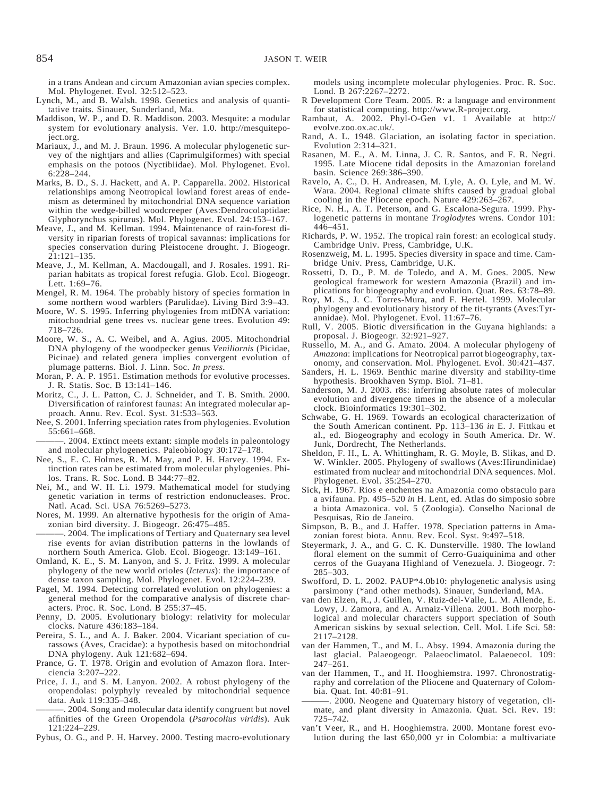in a trans Andean and circum Amazonian avian species complex. Mol. Phylogenet. Evol. 32:512–523.

- Lynch, M., and B. Walsh. 1998. Genetics and analysis of quantitative traits. Sinauer, Sunderland, Ma.
- Maddison, W. P., and D. R. Maddison. 2003. Mesquite: a modular system for evolutionary analysis. Ver. 1.0. http://mesquitepoject.org.
- Mariaux, J., and M. J. Braun. 1996. A molecular phylogenetic survey of the nightjars and allies (Caprimulgiformes) with special emphasis on the potoos (Nyctibiidae). Mol. Phylogenet. Evol. 6:228–244.
- Marks, B. D., S. J. Hackett, and A. P. Capparella. 2002. Historical relationships among Neotropical lowland forest areas of endemism as determined by mitochondrial DNA sequence variation within the wedge-billed woodcreeper (Aves:Dendrocolaptidae: Glyphorynchus spirurus). Mol. Phylogenet. Evol. 24:153–167.
- Meave, J., and M. Kellman. 1994. Maintenance of rain-forest diversity in riparian forests of tropical savannas: implications for species conservation during Pleistocene drought. J. Biogeogr. 21:121–135.
- Meave, J., M. Kellman, A. Macdougall, and J. Rosales. 1991. Riparian habitats as tropical forest refugia. Glob. Ecol. Biogeogr. Lett. 1:69–76.
- Mengel, R. M. 1964. The probably history of species formation in some northern wood warblers (Parulidae). Living Bird 3:9–43.
- Moore, W. S. 1995. Inferring phylogenies from mtDNA variation: mitochondrial gene trees vs. nuclear gene trees. Evolution 49: 718–726.
- Moore, W. S., A. C. Weibel, and A. Agius. 2005. Mitochondrial DNA phylogeny of the woodpecker genus *Veniliornis* (Picidae, Picinae) and related genera implies convergent evolution of plumage patterns. Biol. J. Linn. Soc. *In press*.
- Moran, P. A. P. 1951. Estimation methods for evolutive processes. J. R. Statis. Soc. B 13:141–146.
- Moritz, C., J. L. Patton, C. J. Schneider, and T. B. Smith. 2000. Diversification of rainforest faunas: An integrated molecular approach. Annu. Rev. Ecol. Syst. 31:533–563.
- Nee, S. 2001. Inferring speciation rates from phylogenies. Evolution 55:661–668.
- . 2004. Extinct meets extant: simple models in paleontology and molecular phylogenetics. Paleobiology 30:172–178.
- Nee, S., E. C. Holmes, R. M. May, and P. H. Harvey. 1994. Extinction rates can be estimated from molecular phylogenies. Philos. Trans. R. Soc. Lond. B 344:77–82.
- Nei, M., and W. H. Li. 1979. Mathematical model for studying genetic variation in terms of restriction endonucleases. Proc. Natl. Acad. Sci. USA 76:5269–5273.
- Nores, M. 1999. An alternative hypothesis for the origin of Amazonian bird diversity. J. Biogeogr. 26:475–485.
- -. 2004. The implications of Tertiary and Quaternary sea level rise events for avian distribution patterns in the lowlands of northern South America. Glob. Ecol. Biogeogr. 13:149–161.
- Omland, K. E., S. M. Lanyon, and S. J. Fritz. 1999. A molecular phylogeny of the new world orioles (*Icterus*): the importance of dense taxon sampling. Mol. Phylogenet. Evol. 12:224–239.
- Pagel, M. 1994. Detecting correlated evolution on phylogenies: a general method for the comparative analysis of discrete characters. Proc. R. Soc. Lond. B 255:37–45.
- Penny, D. 2005. Evolutionary biology: relativity for molecular clocks. Nature 436:183–184.
- Pereira, S. L., and A. J. Baker. 2004. Vicariant speciation of curassows (Aves, Cracidae): a hypothesis based on mitochondrial DNA phylogeny. Auk 121:682–694.
- Prance, G. T. 1978. Origin and evolution of Amazon flora. Interciencia 3:207–222.
- Price, J. J., and S. M. Lanyon. 2002. A robust phylogeny of the oropendolas: polyphyly revealed by mitochondrial sequence data. Auk 119:335–348.
- -. 2004. Song and molecular data identify congruent but novel affinities of the Green Oropendola (*Psarocolius viridis*). Auk 121:224–229.
- Pybus, O. G., and P. H. Harvey. 2000. Testing macro-evolutionary

models using incomplete molecular phylogenies. Proc. R. Soc. Lond. B 267:2267–2272.

- R Development Core Team. 2005. R: a language and environment for statistical computing. http://www.R-project.org.
- Rambaut, A. 2002. Phyl-O-Gen v1. 1 Available at http:// evolve.zoo.ox.ac.uk/.
- Rand, A. L. 1948. Glaciation, an isolating factor in speciation. Evolution 2:314–321.
- Rasanen, M. E., A. M. Linna, J. C. R. Santos, and F. R. Negri. 1995. Late Miocene tidal deposits in the Amazonian foreland basin. Science 269:386–390.
- Ravelo, A. C., D. H. Andreasen, M. Lyle, A. O. Lyle, and M. W. Wara. 2004. Regional climate shifts caused by gradual global cooling in the Pliocene epoch. Nature 429:263–267.
- Rice, N. H., A. T. Peterson, and G. Escalona-Segura. 1999. Phylogenetic patterns in montane *Troglodytes* wrens. Condor 101: 446–451.
- Richards, P. W. 1952. The tropical rain forest: an ecological study. Cambridge Univ. Press, Cambridge, U.K.
- Rosenzweig, M. L. 1995. Species diversity in space and time. Cambridge Univ. Press, Cambridge, U.K.
- Rossetti, D. D., P. M. de Toledo, and A. M. Goes. 2005. New geological framework for western Amazonia (Brazil) and implications for biogeography and evolution. Quat. Res. 63:78–89.
- Roy, M. S., J. C. Torres-Mura, and F. Hertel. 1999. Molecular phylogeny and evolutionary history of the tit-tyrants (Aves:Tyrannidae). Mol. Phylogenet. Evol. 11:67–76.
- Rull, V. 2005. Biotic diversification in the Guyana highlands: a proposal. J. Biogeogr. 32:921–927.
- Russello, M. A., and G. Amato. 2004. A molecular phylogeny of *Amazona*: implications for Neotropical parrot biogeography, taxonomy, and conservation. Mol. Phylogenet. Evol. 30:421–437.
- Sanders, H. L. 1969. Benthic marine diversity and stability-time hypothesis. Brookhaven Symp. Biol. 71–81.
- Sanderson, M. J. 2003. r8s: inferring absolute rates of molecular evolution and divergence times in the absence of a molecular clock. Bioinformatics 19:301–302.
- Schwabe, G. H. 1969. Towards an ecological characterization of the South American continent. Pp. 113–136 *in* E. J. Fittkau et al., ed. Biogeography and ecology in South America. Dr. W. Junk, Dordrecht, The Netherlands.
- Sheldon, F. H., L. A. Whittingham, R. G. Moyle, B. Slikas, and D. W. Winkler. 2005. Phylogeny of swallows (Aves:Hirundinidae) estimated from nuclear and mitochondrial DNA sequences. Mol. Phylogenet. Evol. 35:254–270.
- Sick, H. 1967. Rios e enchentes na Amazonia como obstaculo para a avifauna. Pp. 495–520 *in* H. Lent, ed. Atlas do simposio sobre a biota Amazonica. vol. 5 (Zoologia). Conselho Nacional de Pesquisas, Rio de Janeiro.
- Simpson, B. B., and J. Haffer. 1978. Speciation patterns in Amazonian forest biota. Annu. Rev. Ecol. Syst. 9:497–518.
- Steyermark, J. A., and G. C. K. Dunsterville. 1980. The lowland floral element on the summit of Cerro-Guaiquinima and other cerros of the Guayana Highland of Venezuela. J. Biogeogr. 7: 285–303.
- Swofford, D. L. 2002. PAUP\*4.0b10: phylogenetic analysis using parsimony (\*and other methods). Sinauer, Sunderland, MA.
- van den Elzen, R., J. Guillen, V. Ruiz-del-Valle, L. M. Allende, E. Lowy, J. Zamora, and A. Arnaiz-Villena. 2001. Both morphological and molecular characters support speciation of South American siskins by sexual selection. Cell. Mol. Life Sci. 58: 2117–2128.
- van der Hammen, T., and M. L. Absy. 1994. Amazonia during the last glacial. Palaeogeogr. Palaeoclimatol. Palaeoecol. 109: 247–261.
- van der Hammen, T., and H. Hooghiemstra. 1997. Chronostratigraphy and correlation of the Pliocene and Quaternary of Colombia. Quat. Int. 40:81–91.
- ———. 2000. Neogene and Quaternary history of vegetation, climate, and plant diversity in Amazonia. Quat. Sci. Rev. 19: 725–742.
- van't Veer, R., and H. Hooghiemstra. 2000. Montane forest evolution during the last 650,000 yr in Colombia: a multivariate